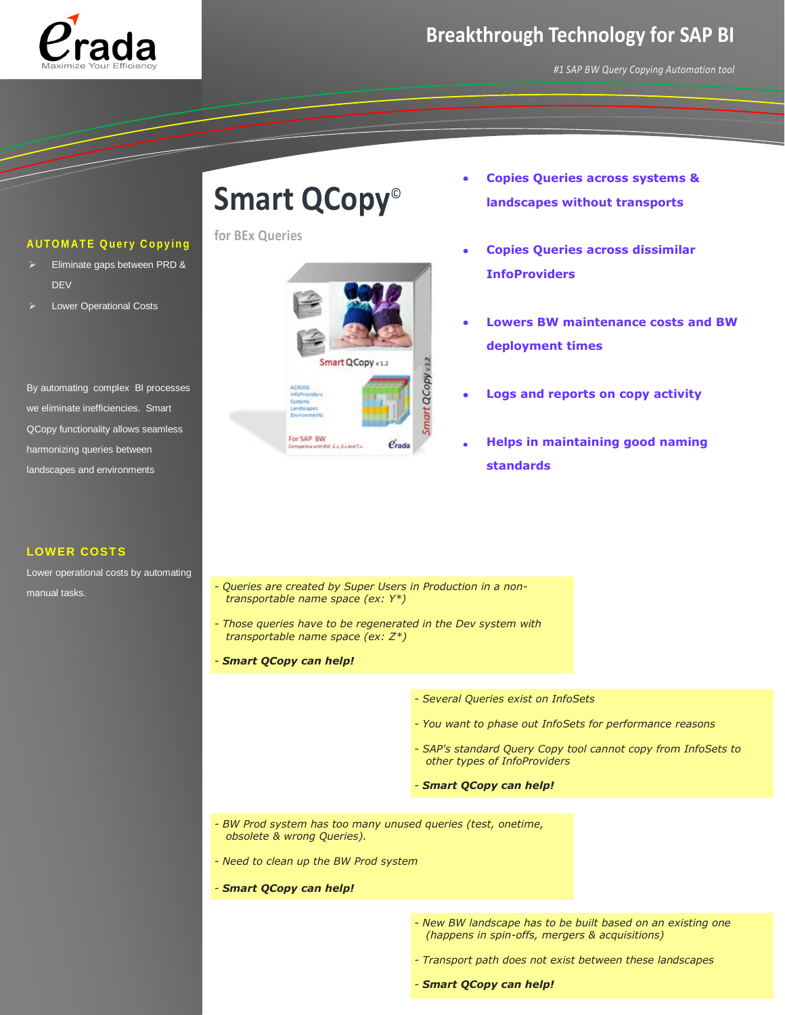

## **Breakthrough Technology for SAP BI**

*#1 SAP BW Query Copying Automation tool*

### **AUTOMATE Query Copying**

- Eliminate gaps between PRD & **DEV**
- Lower Operational Costs

By automating complex BI processes we eliminate inefficiencies. Smart QCopy functionality allows seamless harmonizing queries between landscapes and environments

### **LOWER COSTS**

Lower operational costs by automating manual tasks.

# **Smart QCopy**©

**for BEx Queries**



- **Copies Queries across systems & landscapes without transports**
- **Copies Queries across dissimilar InfoProviders**
- **Lowers BW maintenance costs and BW deployment times**
- **Logs and reports on copy activity**
- **Helps in maintaining good naming standards**

- *- Queries are created by Super Users in Production in a nontransportable name space (ex: Y\*)*
- *- Those queries have to be regenerated in the Dev system with transportable name space (ex: Z\*)*
- *- Smart QCopy can help!*
- *- Several Queries exist on InfoSets*
- *- You want to phase out InfoSets for performance reasons*
- *- SAP's standard Query Copy tool cannot copy from InfoSets to other types of InfoProviders*
- *- Smart QCopy can help!*
- *- BW Prod system has too many unused queries (test, onetime, obsolete & wrong Queries).*
- *- Need to clean up the BW Prod system*
- *- Smart QCopy can help!*
- *- New BW landscape has to be built based on an existing one (happens in spin-offs, mergers & acquisitions)*
- *- Transport path does not exist between these landscapes*
- *- Smart QCopy can help!*